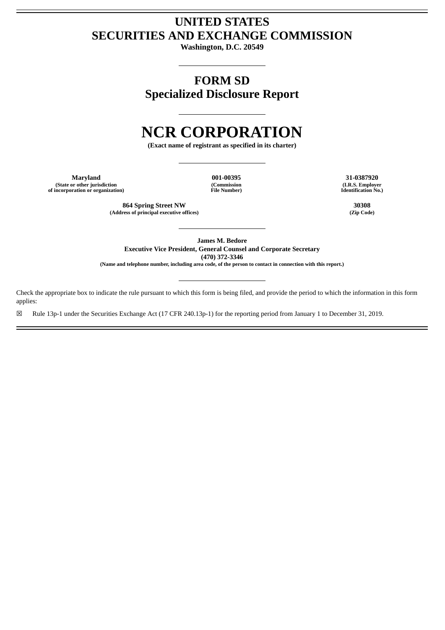# **UNITED STATES SECURITIES AND EXCHANGE COMMISSION**

**Washington, D.C. 20549**

**FORM SD Specialized Disclosure Report**

# **NCR CORPORATION**

**(Exact name of registrant as specified in its charter)**

**Maryland 001-00395 31-0387920 (State or other jurisdiction of incorporation or organization)**

**(Commission File Number)**

**864 Spring Street NW 30308 (Address of principal executive offices) (Zip Code)**

**(I.R.S. Employer Identification No.)**

**James M. Bedore Executive Vice President, General Counsel and Corporate Secretary**

**(470) 372-3346**

(Name and telephone number, including area code, of the person to contact in connection with this report.)

Check the appropriate box to indicate the rule pursuant to which this form is being filed, and provide the period to which the information in this form applies:

☒ Rule 13p-1 under the Securities Exchange Act (17 CFR 240.13p-1) for the reporting period from January 1 to December 31, 2019.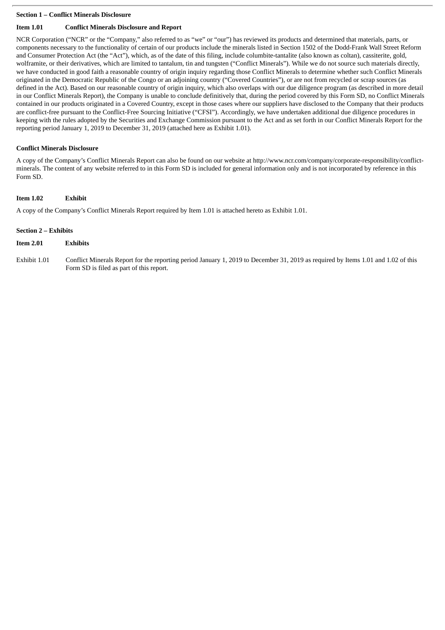# **Section 1 – Conflict Minerals Disclosure**

# **Item 1.01 Conflict Minerals Disclosure and Report**

NCR Corporation ("NCR" or the "Company," also referred to as "we" or "our") has reviewed its products and determined that materials, parts, or components necessary to the functionality of certain of our products include the minerals listed in Section 1502 of the Dodd-Frank Wall Street Reform and Consumer Protection Act (the "Act"), which, as of the date of this filing, include columbite-tantalite (also known as coltan), cassiterite, gold, wolframite, or their derivatives, which are limited to tantalum, tin and tungsten ("Conflict Minerals"). While we do not source such materials directly, we have conducted in good faith a reasonable country of origin inquiry regarding those Conflict Minerals to determine whether such Conflict Minerals originated in the Democratic Republic of the Congo or an adjoining country ("Covered Countries"), or are not from recycled or scrap sources (as defined in the Act). Based on our reasonable country of origin inquiry, which also overlaps with our due diligence program (as described in more detail in our Conflict Minerals Report), the Company is unable to conclude definitively that, during the period covered by this Form SD, no Conflict Minerals contained in our products originated in a Covered Country, except in those cases where our suppliers have disclosed to the Company that their products are conflict-free pursuant to the Conflict-Free Sourcing Initiative ("CFSI"). Accordingly, we have undertaken additional due diligence procedures in keeping with the rules adopted by the Securities and Exchange Commission pursuant to the Act and as set forth in our Conflict Minerals Report for the reporting period January 1, 2019 to December 31, 2019 (attached here as Exhibit 1.01).

# **Conflict Minerals Disclosure**

A copy of the Company's Conflict Minerals Report can also be found on our website at http://www.ncr.com/company/corporate-responsibility/conflictminerals. The content of any website referred to in this Form SD is included for general information only and is not incorporated by reference in this Form SD.

### **Item 1.02 Exhibit**

A copy of the Company's Conflict Minerals Report required by Item 1.01 is attached hereto as Exhibit 1.01.

### **Section 2 – Exhibits**

# **Item 2.01 Exhibits**

Exhibit 1.01 Conflict Minerals Report for the reporting period January 1, 2019 to December 31, 2019 as required by Items 1.01 and 1.02 of this Form SD is filed as part of this report.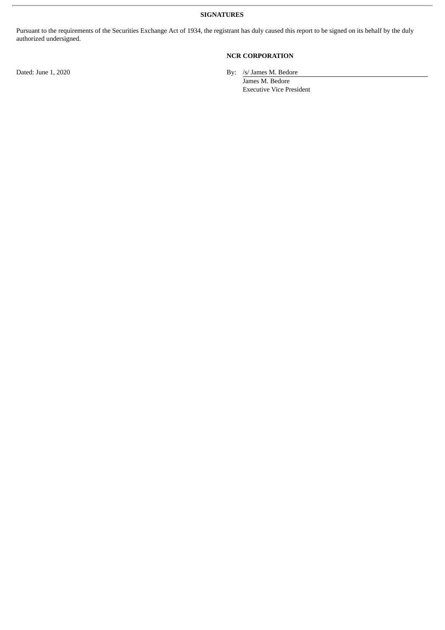**SIGNATURES**

Pursuant to the requirements of the Securities Exchange Act of 1934, the registrant has duly caused this report to be signed on its behalf by the duly authorized undersigned.

# **NCR CORPORATION**

Dated: June 1, 2020 By: /s/ James M. Bedore

James M. Bedore Executive Vice President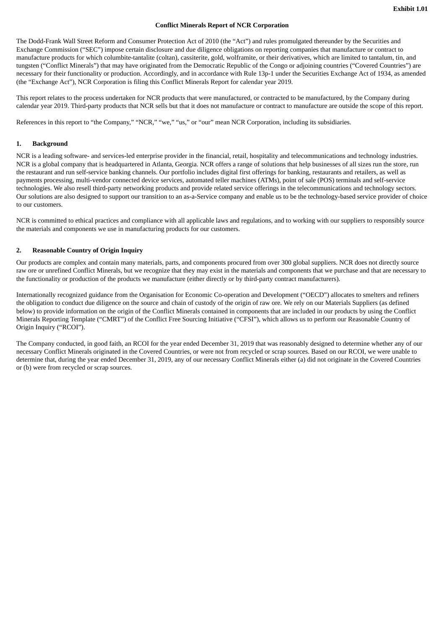### **Conflict Minerals Report of NCR Corporation**

The Dodd-Frank Wall Street Reform and Consumer Protection Act of 2010 (the "Act") and rules promulgated thereunder by the Securities and Exchange Commission ("SEC") impose certain disclosure and due diligence obligations on reporting companies that manufacture or contract to manufacture products for which columbite-tantalite (coltan), cassiterite, gold, wolframite, or their derivatives, which are limited to tantalum, tin, and tungsten ("Conflict Minerals") that may have originated from the Democratic Republic of the Congo or adjoining countries ("Covered Countries") are necessary for their functionality or production. Accordingly, and in accordance with Rule 13p-1 under the Securities Exchange Act of 1934, as amended (the "Exchange Act"), NCR Corporation is filing this Conflict Minerals Report for calendar year 2019.

This report relates to the process undertaken for NCR products that were manufactured, or contracted to be manufactured, by the Company during calendar year 2019. Third-party products that NCR sells but that it does not manufacture or contract to manufacture are outside the scope of this report.

References in this report to "the Company," "NCR," "we," "us," or "our" mean NCR Corporation, including its subsidiaries.

# **1. Background**

NCR is a leading software- and services-led enterprise provider in the financial, retail, hospitality and telecommunications and technology industries. NCR is a global company that is headquartered in Atlanta, Georgia. NCR offers a range of solutions that help businesses of all sizes run the store, run the restaurant and run self-service banking channels. Our portfolio includes digital first offerings for banking, restaurants and retailers, as well as payments processing, multi-vendor connected device services, automated teller machines (ATMs), point of sale (POS) terminals and self-service technologies. We also resell third-party networking products and provide related service offerings in the telecommunications and technology sectors. Our solutions are also designed to support our transition to an as-a-Service company and enable us to be the technology-based service provider of choice to our customers.

NCR is committed to ethical practices and compliance with all applicable laws and regulations, and to working with our suppliers to responsibly source the materials and components we use in manufacturing products for our customers.

### **2. Reasonable Country of Origin Inquiry**

Our products are complex and contain many materials, parts, and components procured from over 300 global suppliers. NCR does not directly source raw ore or unrefined Conflict Minerals, but we recognize that they may exist in the materials and components that we purchase and that are necessary to the functionality or production of the products we manufacture (either directly or by third-party contract manufacturers).

Internationally recognized guidance from the Organisation for Economic Co-operation and Development ("OECD") allocates to smelters and refiners the obligation to conduct due diligence on the source and chain of custody of the origin of raw ore. We rely on our Materials Suppliers (as defined below) to provide information on the origin of the Conflict Minerals contained in components that are included in our products by using the Conflict Minerals Reporting Template ("CMRT") of the Conflict Free Sourcing Initiative ("CFSI"), which allows us to perform our Reasonable Country of Origin Inquiry ("RCOI").

The Company conducted, in good faith, an RCOI for the year ended December 31, 2019 that was reasonably designed to determine whether any of our necessary Conflict Minerals originated in the Covered Countries, or were not from recycled or scrap sources. Based on our RCOI, we were unable to determine that, during the year ended December 31, 2019, any of our necessary Conflict Minerals either (a) did not originate in the Covered Countries or (b) were from recycled or scrap sources.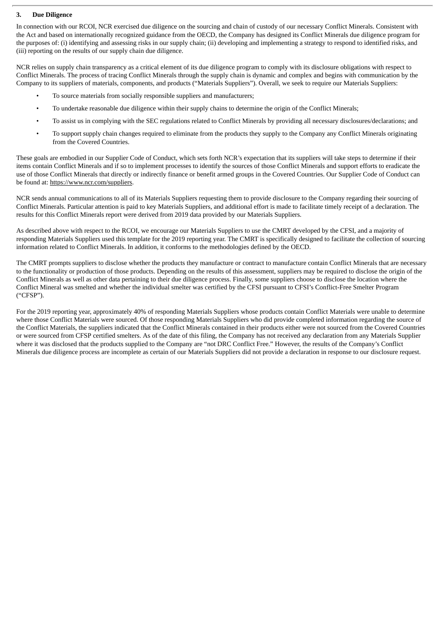# **3. Due Diligence**

In connection with our RCOI, NCR exercised due diligence on the sourcing and chain of custody of our necessary Conflict Minerals. Consistent with the Act and based on internationally recognized guidance from the OECD, the Company has designed its Conflict Minerals due diligence program for the purposes of: (i) identifying and assessing risks in our supply chain; (ii) developing and implementing a strategy to respond to identified risks, and (iii) reporting on the results of our supply chain due diligence.

NCR relies on supply chain transparency as a critical element of its due diligence program to comply with its disclosure obligations with respect to Conflict Minerals. The process of tracing Conflict Minerals through the supply chain is dynamic and complex and begins with communication by the Company to its suppliers of materials, components, and products ("Materials Suppliers"). Overall, we seek to require our Materials Suppliers:

- To source materials from socially responsible suppliers and manufacturers;
- To undertake reasonable due diligence within their supply chains to determine the origin of the Conflict Minerals;
- To assist us in complying with the SEC regulations related to Conflict Minerals by providing all necessary disclosures/declarations; and
- To support supply chain changes required to eliminate from the products they supply to the Company any Conflict Minerals originating from the Covered Countries.

These goals are embodied in our Supplier Code of Conduct, which sets forth NCR's expectation that its suppliers will take steps to determine if their items contain Conflict Minerals and if so to implement processes to identify the sources of those Conflict Minerals and support efforts to eradicate the use of those Conflict Minerals that directly or indirectly finance or benefit armed groups in the Covered Countries. Our Supplier Code of Conduct can be found at: https://www.ncr.com/suppliers.

NCR sends annual communications to all of its Materials Suppliers requesting them to provide disclosure to the Company regarding their sourcing of Conflict Minerals. Particular attention is paid to key Materials Suppliers, and additional effort is made to facilitate timely receipt of a declaration. The results for this Conflict Minerals report were derived from 2019 data provided by our Materials Suppliers.

As described above with respect to the RCOI, we encourage our Materials Suppliers to use the CMRT developed by the CFSI, and a majority of responding Materials Suppliers used this template for the 2019 reporting year. The CMRT is specifically designed to facilitate the collection of sourcing information related to Conflict Minerals. In addition, it conforms to the methodologies defined by the OECD.

The CMRT prompts suppliers to disclose whether the products they manufacture or contract to manufacture contain Conflict Minerals that are necessary to the functionality or production of those products. Depending on the results of this assessment, suppliers may be required to disclose the origin of the Conflict Minerals as well as other data pertaining to their due diligence process. Finally, some suppliers choose to disclose the location where the Conflict Mineral was smelted and whether the individual smelter was certified by the CFSI pursuant to CFSI's Conflict-Free Smelter Program ("CFSP").

For the 2019 reporting year, approximately 40% of responding Materials Suppliers whose products contain Conflict Materials were unable to determine where those Conflict Materials were sourced. Of those responding Materials Suppliers who did provide completed information regarding the source of the Conflict Materials, the suppliers indicated that the Conflict Minerals contained in their products either were not sourced from the Covered Countries or were sourced from CFSP certified smelters. As of the date of this filing, the Company has not received any declaration from any Materials Supplier where it was disclosed that the products supplied to the Company are "not DRC Conflict Free." However, the results of the Company's Conflict Minerals due diligence process are incomplete as certain of our Materials Suppliers did not provide a declaration in response to our disclosure request.